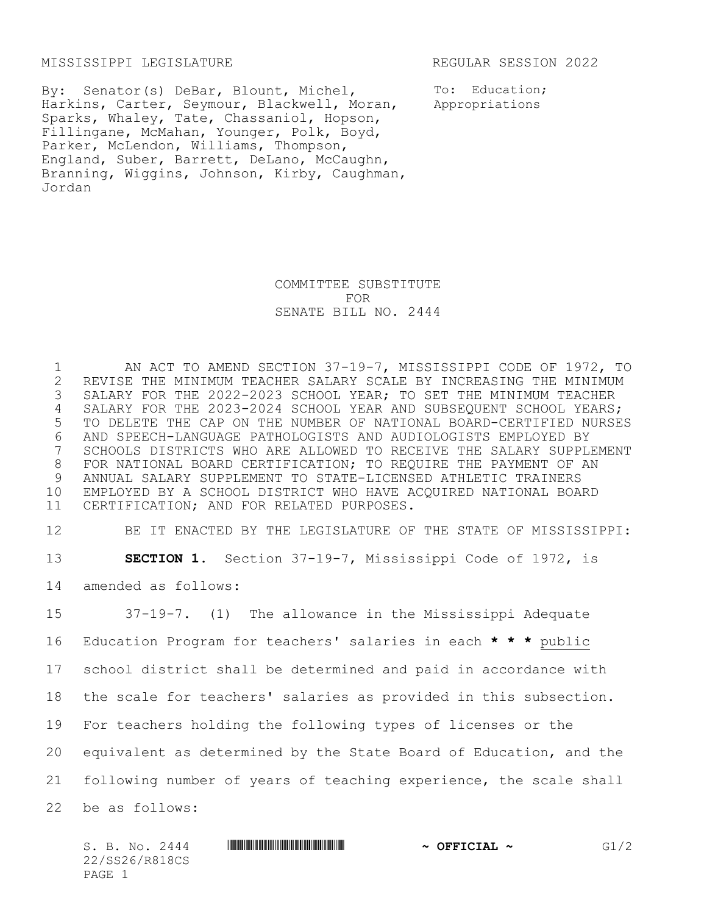## MISSISSIPPI LEGISLATURE REGULAR SESSION 2022

Harkins, Carter, Seymour, Blackwell, Moran, appropriations By: Senator(s) DeBar, Blount, Michel, Sparks, Whaley, Tate, Chassaniol, Hopson, Fillingane, McMahan, Younger, Polk, Boyd, Parker, McLendon, Williams, Thompson, England, Suber, Barrett, DeLano, McCaughn, Branning, Wiggins, Johnson, Kirby, Caughman, Jordan

To: Education;

COMMITTEE SUBSTITUTE FOR SENATE BILL NO. 2444

 AN ACT TO AMEND SECTION 37-19-7, MISSISSIPPI CODE OF 1972, TO 2 REVISE THE MINIMUM TEACHER SALARY SCALE BY INCREASING THE MINIMUM<br>3 SALARY FOR THE 2022-2023 SCHOOL YEAR; TO SET THE MINIMUM TEACHER SALARY FOR THE 2022-2023 SCHOOL YEAR; TO SET THE MINIMUM TEACHER SALARY FOR THE 2023-2024 SCHOOL YEAR AND SUBSEQUENT SCHOOL YEARS; TO DELETE THE CAP ON THE NUMBER OF NATIONAL BOARD-CERTIFIED NURSES AND SPEECH-LANGUAGE PATHOLOGISTS AND AUDIOLOGISTS EMPLOYED BY SCHOOLS DISTRICTS WHO ARE ALLOWED TO RECEIVE THE SALARY SUPPLEMENT FOR NATIONAL BOARD CERTIFICATION; TO REQUIRE THE PAYMENT OF AN ANNUAL SALARY SUPPLEMENT TO STATE-LICENSED ATHLETIC TRAINERS EMPLOYED BY A SCHOOL DISTRICT WHO HAVE ACQUIRED NATIONAL BOARD CERTIFICATION; AND FOR RELATED PURPOSES.

12 BE IT ENACTED BY THE LEGISLATURE OF THE STATE OF MISSISSIPPI: 13 **SECTION 1.** Section 37-19-7, Mississippi Code of 1972, is

14 amended as follows:

 37-19-7. (1) The allowance in the Mississippi Adequate Education Program for teachers' salaries in each **\* \* \*** public school district shall be determined and paid in accordance with the scale for teachers' salaries as provided in this subsection. For teachers holding the following types of licenses or the equivalent as determined by the State Board of Education, and the following number of years of teaching experience, the scale shall be as follows: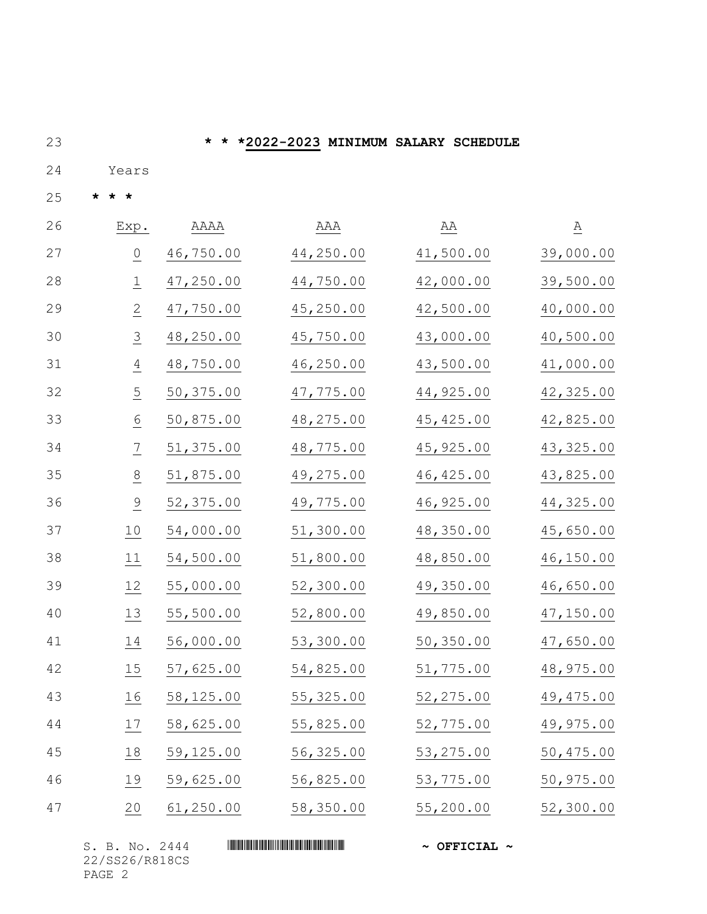**\* \* \*2022-2023 MINIMUM SALARY SCHEDULE**

24 Years

**\* \* \***

| 26 | Exp.                 | AAAA      | AAA        | $\underline{AA}$ | $\underline{\mathsf{A}}$ |
|----|----------------------|-----------|------------|------------------|--------------------------|
| 27 | $\frac{0}{\sqrt{2}}$ | 46,750.00 | 44,250.00  | 41,500.00        | 39,000.00                |
| 28 | $\overline{\perp}$   | 47,250.00 | 44,750.00  | 42,000.00        | 39,500.00                |
| 29 | $\overline{2}$       | 47,750.00 | 45,250.00  | 42,500.00        | 40,000.00                |
| 30 | $\overline{3}$       | 48,250.00 | 45,750.00  | 43,000.00        | 40,500.00                |
| 31 | $\overline{4}$       | 48,750.00 | 46,250.00  | 43,500.00        | 41,000.00                |
| 32 | $\overline{5}$       | 50,375.00 | 47,775.00  | 44,925.00        | 42,325.00                |
| 33 | $\underline{6}$      | 50,875.00 | 48,275.00  | 45, 425.00       | 42,825.00                |
| 34 | $\overline{1}$       | 51,375.00 | 48,775.00  | 45,925.00        | 43, 325.00               |
| 35 | $\frac{8}{1}$        | 51,875.00 | 49,275.00  | 46, 425.00       | 43,825.00                |
| 36 | $\frac{9}{1}$        | 52,375.00 | 49,775.00  | 46,925.00        | 44,325.00                |
| 37 | 10                   | 54,000.00 | 51,300.00  | 48,350.00        | 45,650.00                |
| 38 | 11                   | 54,500.00 | 51,800.00  | 48,850.00        | 46,150.00                |
| 39 | 12                   | 55,000.00 | 52,300.00  | 49,350.00        | 46,650.00                |
| 40 | 13                   | 55,500.00 | 52,800.00  | 49,850.00        | 47,150.00                |
| 41 | 14                   | 56,000.00 | 53,300.00  | 50,350.00        | 47,650.00                |
| 42 | 15                   | 57,625.00 | 54,825.00  | 51,775.00        | 48,975.00                |
| 43 | 16                   | 58,125.00 | 55, 325.00 | 52,275.00        | 49, 475.00               |
| 44 | 17                   | 58,625.00 | 55,825.00  | 52,775.00        | 49,975.00                |
| 45 | 18                   | 59,125.00 | 56,325.00  | 53, 275.00       | 50,475.00                |
| 46 | 19                   | 59,625.00 | 56,825.00  | 53,775.00        | 50,975.00                |
| 47 | 20                   | 61,250.00 | 58,350.00  | 55,200.00        | 52,300.00                |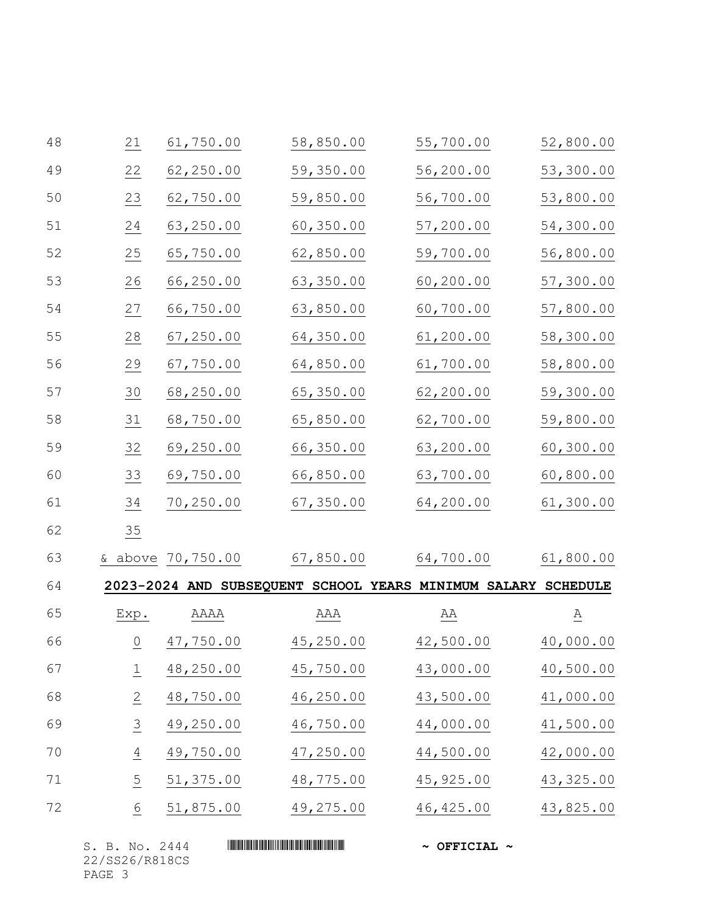| 48 | 21                 | 61,750.00         | 58,850.00                                                     | 55,700.00  | 52,800.00                |
|----|--------------------|-------------------|---------------------------------------------------------------|------------|--------------------------|
| 49 | 22                 | 62,250.00         | 59,350.00                                                     | 56,200.00  | 53,300.00                |
| 50 | 23                 | 62,750.00         | 59,850.00                                                     | 56,700.00  | 53,800.00                |
| 51 | 24                 | 63,250.00         | 60,350.00                                                     | 57,200.00  | 54,300.00                |
| 52 | 25                 | 65,750.00         | 62,850.00                                                     | 59,700.00  | 56,800.00                |
| 53 | $\frac{26}{1}$     | 66,250.00         | 63,350.00                                                     | 60,200.00  | 57,300.00                |
| 54 | 27                 | 66,750.00         | 63,850.00                                                     | 60,700.00  | 57,800.00                |
| 55 | 28                 | 67, 250.00        | 64,350.00                                                     | 61,200.00  | 58,300.00                |
| 56 | 29                 | 67,750.00         | 64,850.00                                                     | 61,700.00  | 58,800.00                |
| 57 | 30                 | 68,250.00         | 65,350.00                                                     | 62,200.00  | 59,300.00                |
| 58 | $\underline{31}$   | 68,750.00         | 65,850.00                                                     | 62,700.00  | 59,800.00                |
| 59 | $\frac{32}{1}$     | 69,250.00         | 66,350.00                                                     | 63,200.00  | 60,300.00                |
| 60 | 33                 | 69,750.00         | 66,850.00                                                     | 63,700.00  | 60,800.00                |
| 61 | 34                 | 70,250.00         | 67,350.00                                                     | 64,200.00  | 61,300.00                |
| 62 | 35                 |                   |                                                               |            |                          |
| 63 |                    | & above 70,750.00 | 67,850.00                                                     | 64,700.00  | 61,800.00                |
| 64 |                    |                   | 2023-2024 AND SUBSEQUENT SCHOOL YEARS MINIMUM SALARY SCHEDULE |            |                          |
| 65 | Exp.               | AAAA              | AAA                                                           | ΆA         | $\underline{\mathbf{A}}$ |
| 66 | $\mathsf{O}$       | 47,750.00         | 45,250.00                                                     | 42,500.00  | 40,000.00                |
| 67 | $\overline{\perp}$ | 48,250.00         | 45,750.00                                                     | 43,000.00  | 40,500.00                |
| 68 | $\overline{2}$     | 48,750.00         | 46,250.00                                                     | 43,500.00  | 41,000.00                |
| 69 | $\overline{3}$     | 49,250.00         | 46,750.00                                                     | 44,000.00  | 41,500.00                |
| 70 | $\frac{4}{1}$      | 49,750.00         | 47,250.00                                                     | 44,500.00  | 42,000.00                |
| 71 | $\overline{5}$     | 51,375.00         | 48,775.00                                                     | 45,925.00  | 43,325.00                |
| 72 | $6 \overline{6}$   | 51,875.00         | 49,275.00                                                     | 46, 425.00 | 43,825.00                |
|    |                    |                   |                                                               |            |                          |

| S. B. No. 2444 | $\sim$ OFFICIAL $\sim$ |
|----------------|------------------------|
| 22/SS26/R818CS |                        |
| PAGE 3         |                        |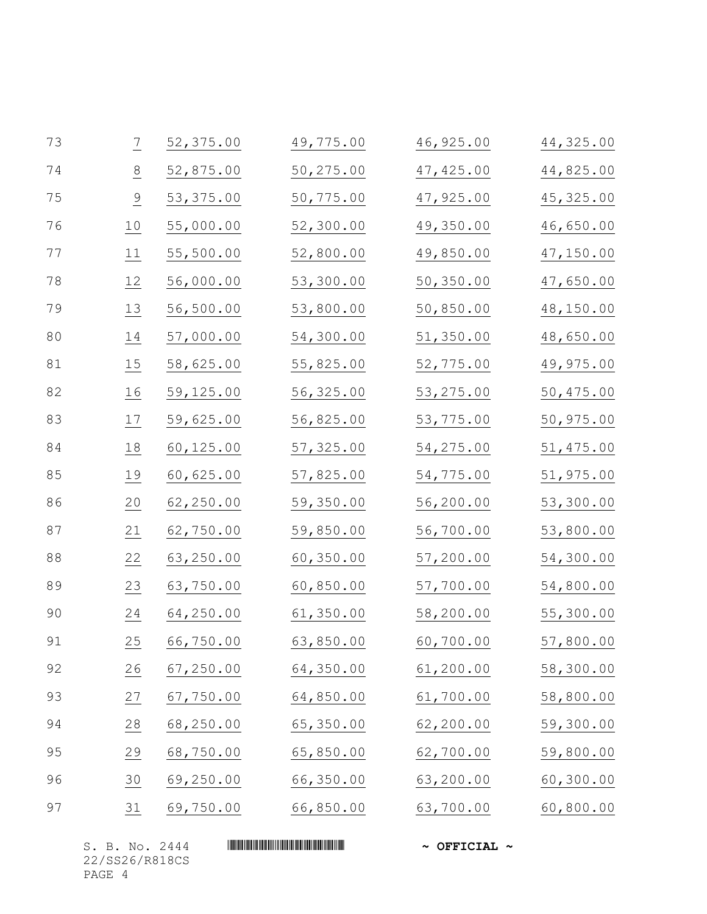| 73 | $\overline{1}$ | 52,375.00  | 49,775.00 | 46,925.00  | 44,325.00  |
|----|----------------|------------|-----------|------------|------------|
| 74 | 8              | 52,875.00  | 50,275.00 | 47, 425.00 | 44,825.00  |
| 75 | $\frac{9}{1}$  | 53, 375.00 | 50,775.00 | 47,925.00  | 45, 325.00 |
| 76 | 10             | 55,000.00  | 52,300.00 | 49,350.00  | 46,650.00  |
| 77 | 11             | 55,500.00  | 52,800.00 | 49,850.00  | 47,150.00  |
| 78 | 12             | 56,000.00  | 53,300.00 | 50,350.00  | 47,650.00  |
| 79 | 13             | 56,500.00  | 53,800.00 | 50,850.00  | 48,150.00  |
| 80 | 14             | 57,000.00  | 54,300.00 | 51,350.00  | 48,650.00  |
| 81 | 15             | 58,625.00  | 55,825.00 | 52,775.00  | 49,975.00  |
| 82 | 16             | 59,125.00  | 56,325.00 | 53, 275.00 | 50,475.00  |
| 83 | 17             | 59,625.00  | 56,825.00 | 53,775.00  | 50,975.00  |
| 84 | 18             | 60,125.00  | 57,325.00 | 54,275.00  | 51,475.00  |
| 85 | 19             | 60,625.00  | 57,825.00 | 54,775.00  | 51,975.00  |
| 86 | 20             | 62,250.00  | 59,350.00 | 56,200.00  | 53,300.00  |
| 87 | 21             | 62,750.00  | 59,850.00 | 56,700.00  | 53,800.00  |
| 88 | 22             | 63,250.00  | 60,350.00 | 57,200.00  | 54,300.00  |
| 89 | 23             | 63,750.00  | 60,850.00 | 57,700.00  | 54,800.00  |
| 90 | 24             | 64,250.00  | 61,350.00 | 58,200.00  | 55,300.00  |
| 91 | 25             | 66,750.00  | 63,850.00 | 60,700.00  | 57,800.00  |
| 92 | 26             | 67,250.00  | 64,350.00 | 61,200.00  | 58,300.00  |
| 93 | $\frac{27}{1}$ | 67,750.00  | 64,850.00 | 61,700.00  | 58,800.00  |
| 94 | 28             | 68,250.00  | 65,350.00 | 62,200.00  | 59,300.00  |
| 95 | $\frac{29}{2}$ | 68,750.00  | 65,850.00 | 62,700.00  | 59,800.00  |
| 96 | 30             | 69,250.00  | 66,350.00 | 63,200.00  | 60,300.00  |
| 97 | $\frac{31}{1}$ | 69,750.00  | 66,850.00 | 63,700.00  | 60,800.00  |

22/SS26/R818CS PAGE 4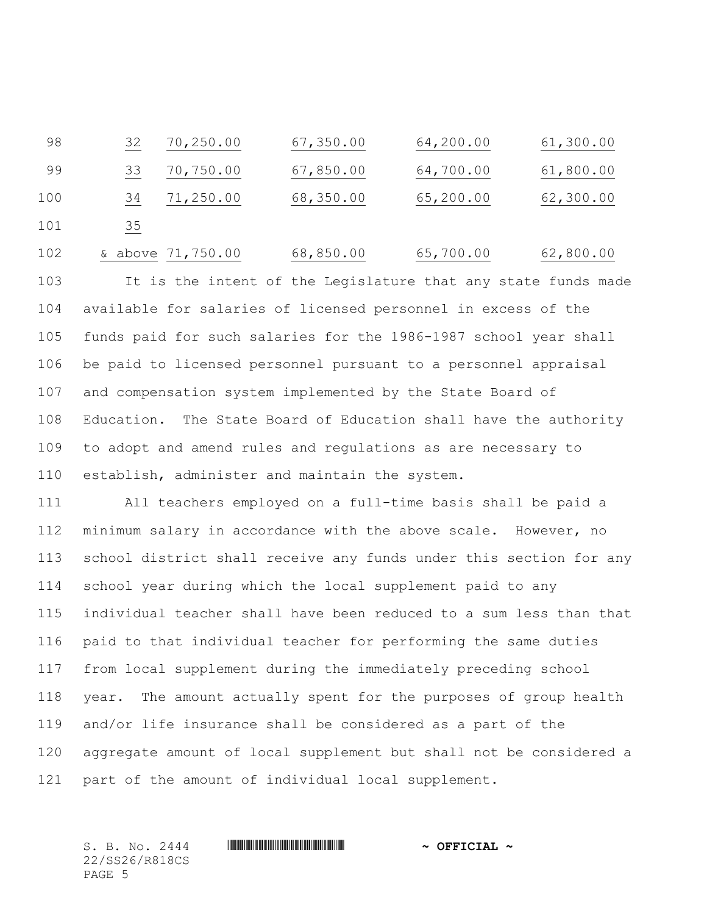32 70,250.00 67,350.00 64,200.00 61,300.00 33 70,750.00 67,850.00 64,700.00 61,800.00 34 71,250.00 68,350.00 65,200.00 62,300.00 101 35

102 & above 71,750.00 68,850.00 65,700.00 62,800.00

 It is the intent of the Legislature that any state funds made available for salaries of licensed personnel in excess of the funds paid for such salaries for the 1986-1987 school year shall be paid to licensed personnel pursuant to a personnel appraisal and compensation system implemented by the State Board of Education. The State Board of Education shall have the authority to adopt and amend rules and regulations as are necessary to establish, administer and maintain the system.

 All teachers employed on a full-time basis shall be paid a minimum salary in accordance with the above scale. However, no school district shall receive any funds under this section for any school year during which the local supplement paid to any individual teacher shall have been reduced to a sum less than that paid to that individual teacher for performing the same duties from local supplement during the immediately preceding school year. The amount actually spent for the purposes of group health and/or life insurance shall be considered as a part of the aggregate amount of local supplement but shall not be considered a part of the amount of individual local supplement.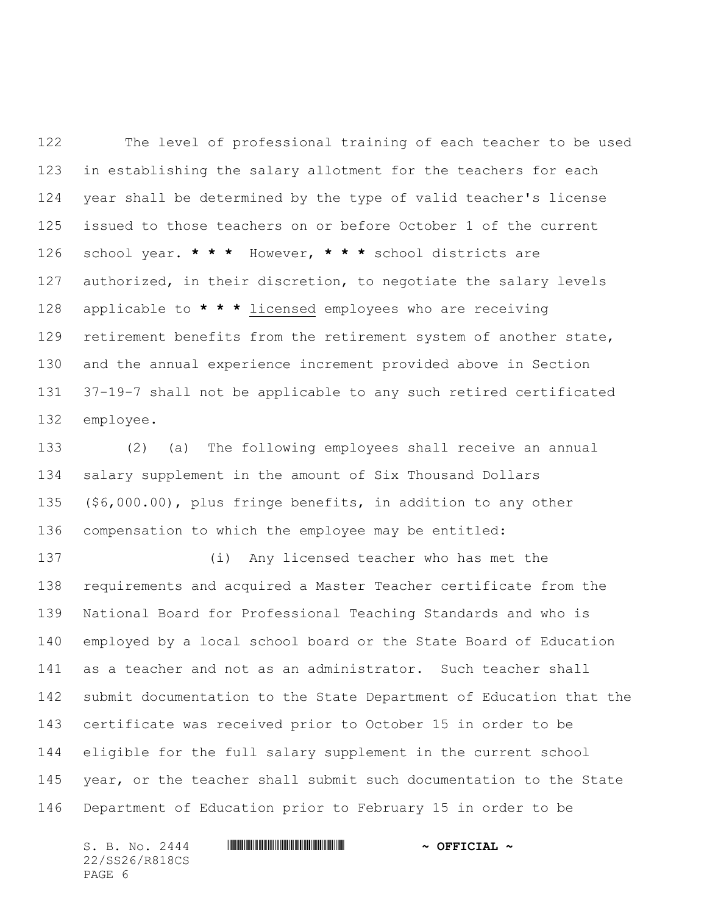The level of professional training of each teacher to be used in establishing the salary allotment for the teachers for each year shall be determined by the type of valid teacher's license issued to those teachers on or before October 1 of the current school year. **\* \* \*** However, **\* \* \*** school districts are authorized, in their discretion, to negotiate the salary levels applicable to **\* \* \*** licensed employees who are receiving retirement benefits from the retirement system of another state, and the annual experience increment provided above in Section 37-19-7 shall not be applicable to any such retired certificated employee.

 (2) (a) The following employees shall receive an annual salary supplement in the amount of Six Thousand Dollars (\$6,000.00), plus fringe benefits, in addition to any other compensation to which the employee may be entitled:

 (i) Any licensed teacher who has met the requirements and acquired a Master Teacher certificate from the National Board for Professional Teaching Standards and who is employed by a local school board or the State Board of Education as a teacher and not as an administrator. Such teacher shall submit documentation to the State Department of Education that the certificate was received prior to October 15 in order to be eligible for the full salary supplement in the current school year, or the teacher shall submit such documentation to the State Department of Education prior to February 15 in order to be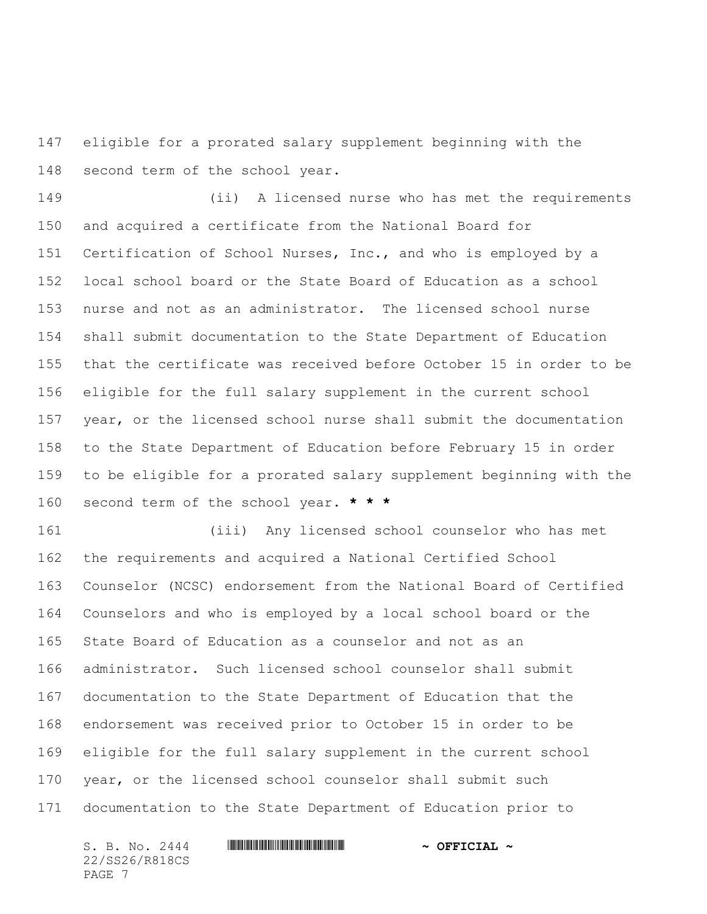eligible for a prorated salary supplement beginning with the second term of the school year.

 (ii) A licensed nurse who has met the requirements and acquired a certificate from the National Board for Certification of School Nurses, Inc., and who is employed by a local school board or the State Board of Education as a school nurse and not as an administrator. The licensed school nurse shall submit documentation to the State Department of Education that the certificate was received before October 15 in order to be eligible for the full salary supplement in the current school year, or the licensed school nurse shall submit the documentation to the State Department of Education before February 15 in order to be eligible for a prorated salary supplement beginning with the second term of the school year. **\* \* \***

 (iii) Any licensed school counselor who has met the requirements and acquired a National Certified School Counselor (NCSC) endorsement from the National Board of Certified Counselors and who is employed by a local school board or the State Board of Education as a counselor and not as an administrator. Such licensed school counselor shall submit documentation to the State Department of Education that the endorsement was received prior to October 15 in order to be eligible for the full salary supplement in the current school year, or the licensed school counselor shall submit such documentation to the State Department of Education prior to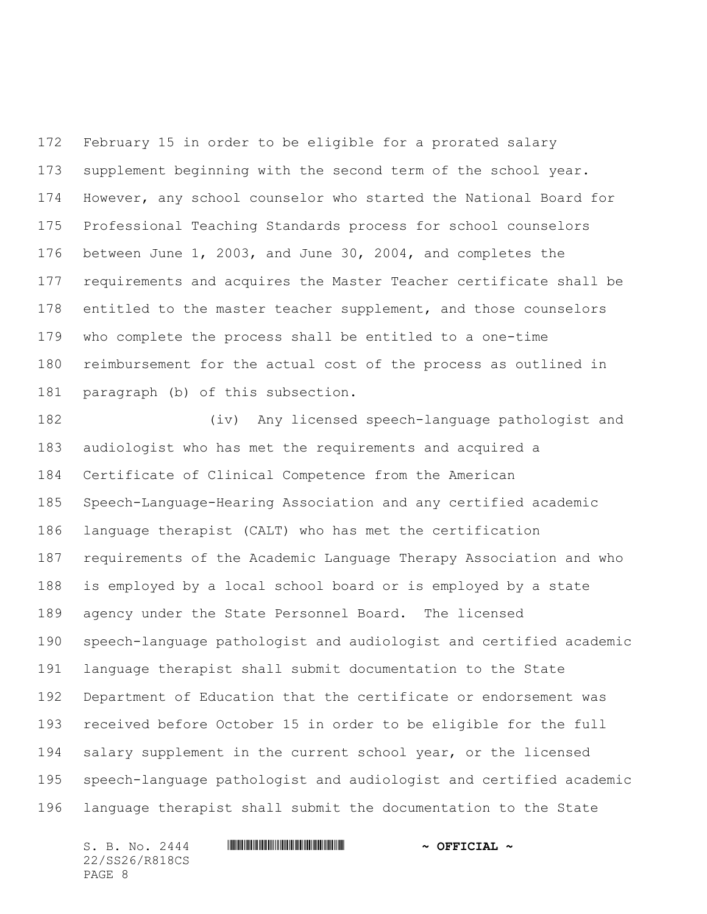February 15 in order to be eligible for a prorated salary supplement beginning with the second term of the school year. However, any school counselor who started the National Board for Professional Teaching Standards process for school counselors between June 1, 2003, and June 30, 2004, and completes the requirements and acquires the Master Teacher certificate shall be 178 entitled to the master teacher supplement, and those counselors who complete the process shall be entitled to a one-time reimbursement for the actual cost of the process as outlined in paragraph (b) of this subsection.

 (iv) Any licensed speech-language pathologist and audiologist who has met the requirements and acquired a Certificate of Clinical Competence from the American Speech-Language-Hearing Association and any certified academic language therapist (CALT) who has met the certification requirements of the Academic Language Therapy Association and who is employed by a local school board or is employed by a state agency under the State Personnel Board. The licensed speech-language pathologist and audiologist and certified academic language therapist shall submit documentation to the State Department of Education that the certificate or endorsement was received before October 15 in order to be eligible for the full salary supplement in the current school year, or the licensed speech-language pathologist and audiologist and certified academic language therapist shall submit the documentation to the State

22/SS26/R818CS PAGE 8

## S. B. No. 2444 \*SS26/R818CS\* **~ OFFICIAL ~**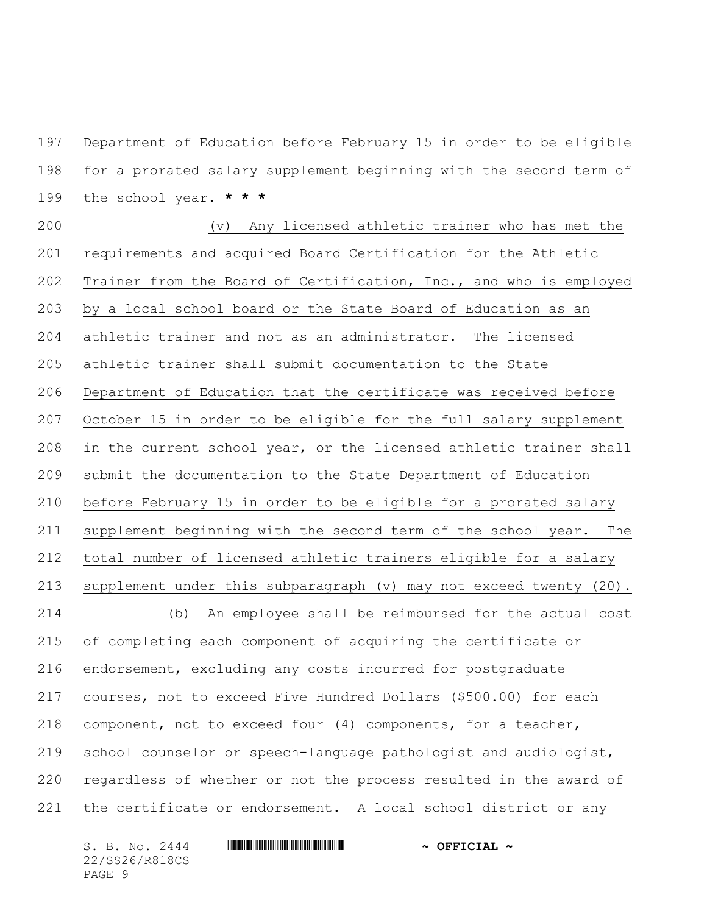Department of Education before February 15 in order to be eligible for a prorated salary supplement beginning with the second term of the school year. **\* \* \***

 (v) Any licensed athletic trainer who has met the requirements and acquired Board Certification for the Athletic Trainer from the Board of Certification, Inc., and who is employed by a local school board or the State Board of Education as an athletic trainer and not as an administrator. The licensed athletic trainer shall submit documentation to the State Department of Education that the certificate was received before October 15 in order to be eligible for the full salary supplement in the current school year, or the licensed athletic trainer shall submit the documentation to the State Department of Education before February 15 in order to be eligible for a prorated salary supplement beginning with the second term of the school year. The total number of licensed athletic trainers eligible for a salary supplement under this subparagraph (v) may not exceed twenty (20). (b) An employee shall be reimbursed for the actual cost of completing each component of acquiring the certificate or endorsement, excluding any costs incurred for postgraduate courses, not to exceed Five Hundred Dollars (\$500.00) for each component, not to exceed four (4) components, for a teacher, school counselor or speech-language pathologist and audiologist, regardless of whether or not the process resulted in the award of the certificate or endorsement. A local school district or any

22/SS26/R818CS PAGE 9

S. B. No. 2444 \*SS26/R818CS\* **~ OFFICIAL ~**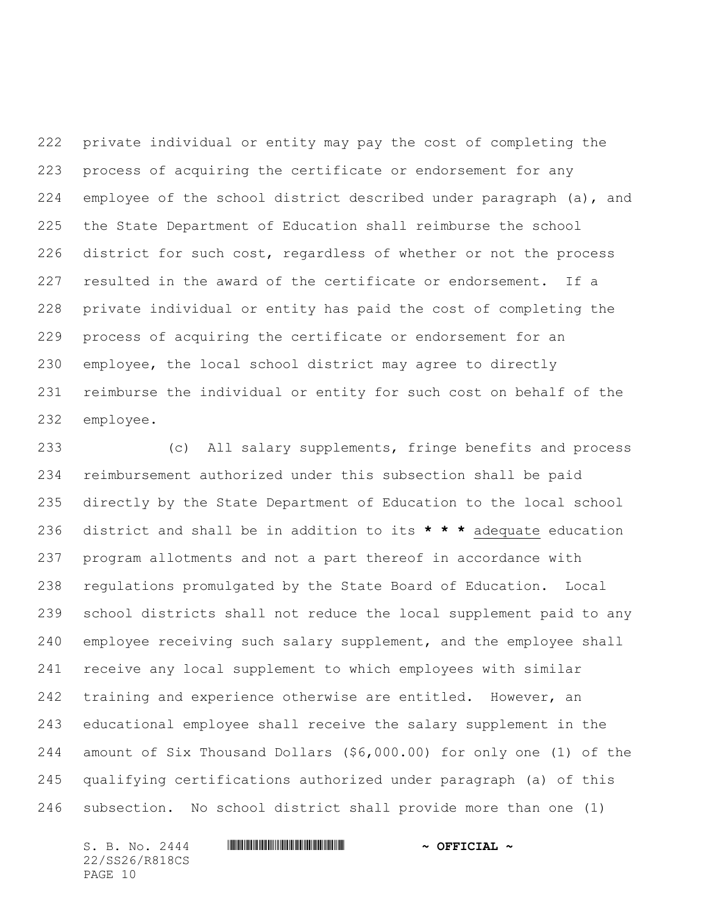private individual or entity may pay the cost of completing the process of acquiring the certificate or endorsement for any employee of the school district described under paragraph (a), and the State Department of Education shall reimburse the school district for such cost, regardless of whether or not the process resulted in the award of the certificate or endorsement. If a private individual or entity has paid the cost of completing the process of acquiring the certificate or endorsement for an employee, the local school district may agree to directly reimburse the individual or entity for such cost on behalf of the employee.

 (c) All salary supplements, fringe benefits and process reimbursement authorized under this subsection shall be paid directly by the State Department of Education to the local school district and shall be in addition to its **\* \* \*** adequate education program allotments and not a part thereof in accordance with regulations promulgated by the State Board of Education. Local school districts shall not reduce the local supplement paid to any employee receiving such salary supplement, and the employee shall receive any local supplement to which employees with similar 242 training and experience otherwise are entitled. However, an educational employee shall receive the salary supplement in the amount of Six Thousand Dollars (\$6,000.00) for only one (1) of the qualifying certifications authorized under paragraph (a) of this subsection. No school district shall provide more than one (1)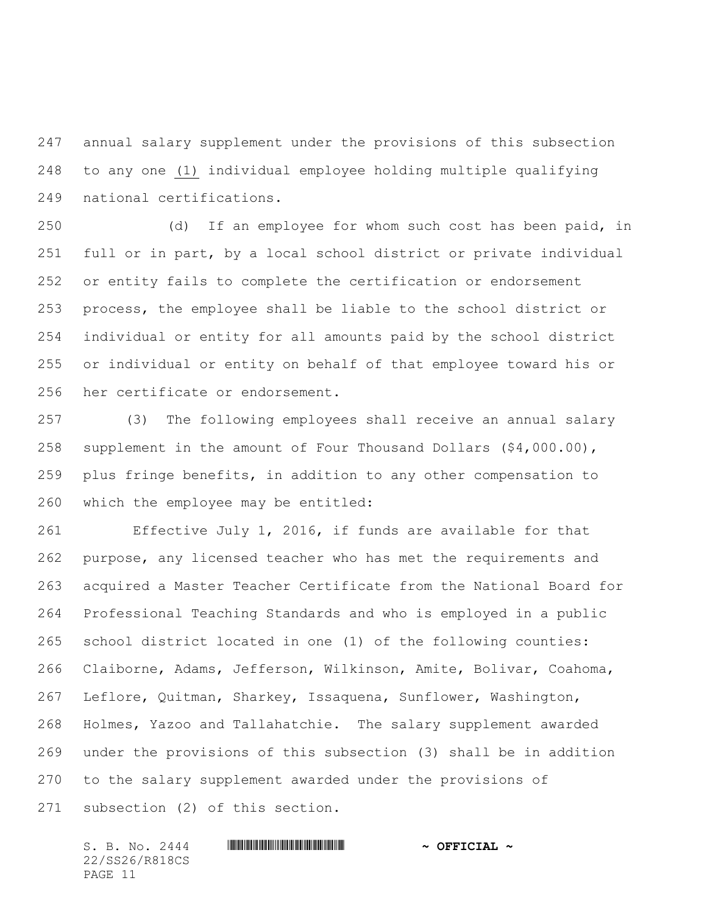annual salary supplement under the provisions of this subsection to any one (1) individual employee holding multiple qualifying national certifications.

 (d) If an employee for whom such cost has been paid, in full or in part, by a local school district or private individual or entity fails to complete the certification or endorsement process, the employee shall be liable to the school district or individual or entity for all amounts paid by the school district or individual or entity on behalf of that employee toward his or her certificate or endorsement.

 (3) The following employees shall receive an annual salary supplement in the amount of Four Thousand Dollars (\$4,000.00), plus fringe benefits, in addition to any other compensation to which the employee may be entitled:

 Effective July 1, 2016, if funds are available for that purpose, any licensed teacher who has met the requirements and acquired a Master Teacher Certificate from the National Board for Professional Teaching Standards and who is employed in a public school district located in one (1) of the following counties: Claiborne, Adams, Jefferson, Wilkinson, Amite, Bolivar, Coahoma, Leflore, Quitman, Sharkey, Issaquena, Sunflower, Washington, Holmes, Yazoo and Tallahatchie. The salary supplement awarded under the provisions of this subsection (3) shall be in addition to the salary supplement awarded under the provisions of subsection (2) of this section.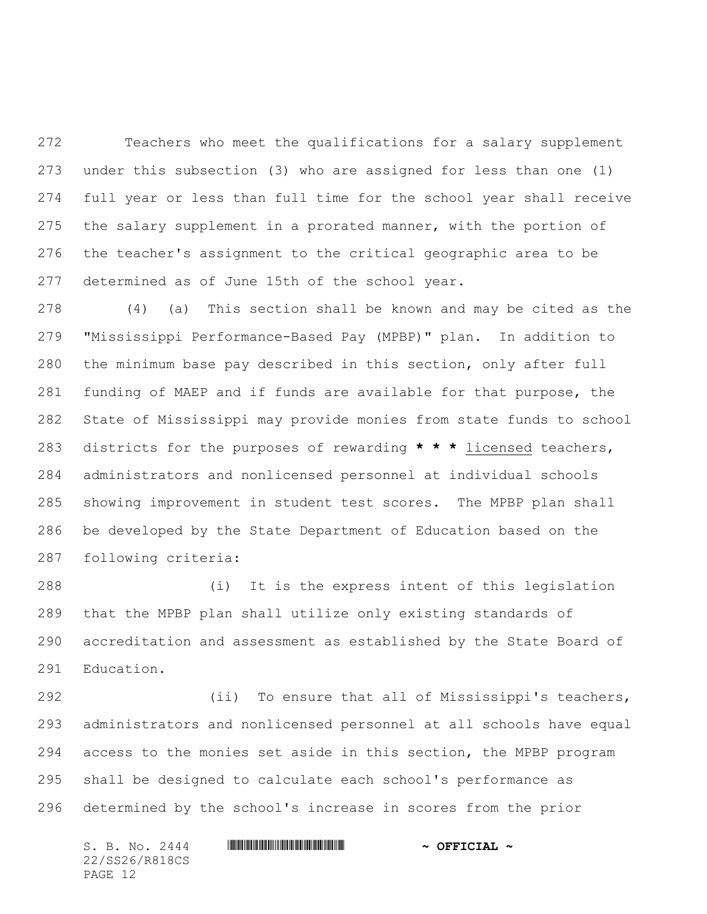Teachers who meet the qualifications for a salary supplement under this subsection (3) who are assigned for less than one (1) full year or less than full time for the school year shall receive the salary supplement in a prorated manner, with the portion of the teacher's assignment to the critical geographic area to be determined as of June 15th of the school year.

 (4) (a) This section shall be known and may be cited as the "Mississippi Performance-Based Pay (MPBP)" plan. In addition to the minimum base pay described in this section, only after full funding of MAEP and if funds are available for that purpose, the State of Mississippi may provide monies from state funds to school districts for the purposes of rewarding **\* \* \*** licensed teachers, administrators and nonlicensed personnel at individual schools showing improvement in student test scores. The MPBP plan shall be developed by the State Department of Education based on the following criteria:

 (i) It is the express intent of this legislation that the MPBP plan shall utilize only existing standards of accreditation and assessment as established by the State Board of Education.

 (ii) To ensure that all of Mississippi's teachers, administrators and nonlicensed personnel at all schools have equal access to the monies set aside in this section, the MPBP program shall be designed to calculate each school's performance as determined by the school's increase in scores from the prior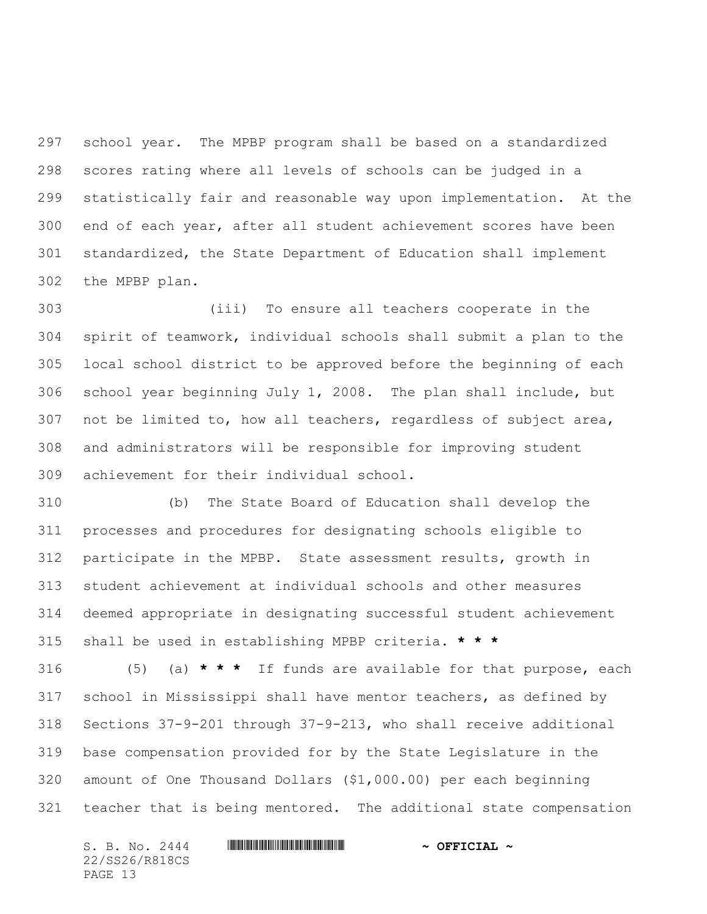school year. The MPBP program shall be based on a standardized scores rating where all levels of schools can be judged in a statistically fair and reasonable way upon implementation. At the end of each year, after all student achievement scores have been standardized, the State Department of Education shall implement the MPBP plan.

 (iii) To ensure all teachers cooperate in the spirit of teamwork, individual schools shall submit a plan to the local school district to be approved before the beginning of each school year beginning July 1, 2008. The plan shall include, but not be limited to, how all teachers, regardless of subject area, and administrators will be responsible for improving student achievement for their individual school.

 (b) The State Board of Education shall develop the processes and procedures for designating schools eligible to participate in the MPBP. State assessment results, growth in student achievement at individual schools and other measures deemed appropriate in designating successful student achievement shall be used in establishing MPBP criteria. **\* \* \***

 (5) (a) **\* \* \*** If funds are available for that purpose, each school in Mississippi shall have mentor teachers, as defined by Sections 37-9-201 through 37-9-213, who shall receive additional base compensation provided for by the State Legislature in the amount of One Thousand Dollars (\$1,000.00) per each beginning teacher that is being mentored. The additional state compensation